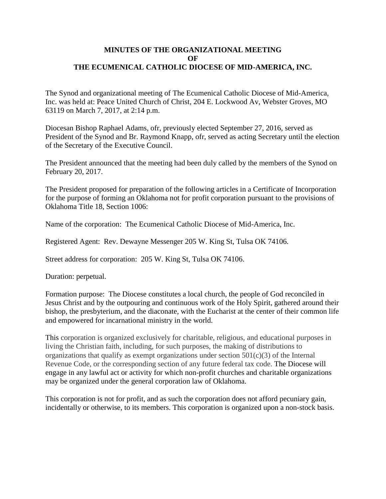## **MINUTES OF THE ORGANIZATIONAL MEETING OF THE ECUMENICAL CATHOLIC DIOCESE OF MID-AMERICA, INC.**

The Synod and organizational meeting of The Ecumenical Catholic Diocese of Mid-America, Inc. was held at: Peace United Church of Christ, 204 E. Lockwood Av, Webster Groves, MO 63119 on March 7, 2017, at 2:14 p.m.

Diocesan Bishop Raphael Adams, ofr, previously elected September 27, 2016, served as President of the Synod and Br. Raymond Knapp, ofr, served as acting Secretary until the election of the Secretary of the Executive Council.

The President announced that the meeting had been duly called by the members of the Synod on February 20, 2017.

The President proposed for preparation of the following articles in a Certificate of Incorporation for the purpose of forming an Oklahoma not for profit corporation pursuant to the provisions of Oklahoma Title 18, Section 1006:

Name of the corporation: The Ecumenical Catholic Diocese of Mid-America, Inc.

Registered Agent: Rev. Dewayne Messenger 205 W. King St, Tulsa OK 74106.

Street address for corporation: 205 W. King St, Tulsa OK 74106.

Duration: perpetual.

Formation purpose: The Diocese constitutes a local church, the people of God reconciled in Jesus Christ and by the outpouring and continuous work of the Holy Spirit, gathered around their bishop, the presbyterium, and the diaconate, with the Eucharist at the center of their common life and empowered for incarnational ministry in the world.

This corporation is organized exclusively for charitable, religious, and educational purposes in living the Christian faith, including, for such purposes, the making of distributions to organizations that qualify as exempt organizations under section  $501(c)(3)$  of the Internal Revenue Code, or the corresponding section of any future federal tax code. The Diocese will engage in any lawful act or activity for which non-profit churches and charitable organizations may be organized under the general corporation law of Oklahoma.

This corporation is not for profit, and as such the corporation does not afford pecuniary gain, incidentally or otherwise, to its members. This corporation is organized upon a non-stock basis.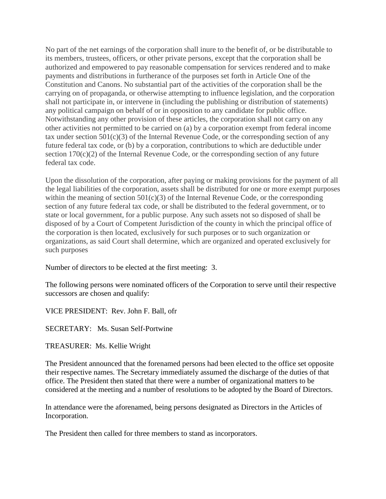No part of the net earnings of the corporation shall inure to the benefit of, or be distributable to its members, trustees, officers, or other private persons, except that the corporation shall be authorized and empowered to pay reasonable compensation for services rendered and to make payments and distributions in furtherance of the purposes set forth in Article One of the Constitution and Canons. No substantial part of the activities of the corporation shall be the carrying on of propaganda, or otherwise attempting to influence legislation, and the corporation shall not participate in, or intervene in (including the publishing or distribution of statements) any political campaign on behalf of or in opposition to any candidate for public office. Notwithstanding any other provision of these articles, the corporation shall not carry on any other activities not permitted to be carried on (a) by a corporation exempt from federal income tax under section  $501(c)(3)$  of the Internal Revenue Code, or the corresponding section of any future federal tax code, or (b) by a corporation, contributions to which are deductible under section 170(c)(2) of the Internal Revenue Code, or the corresponding section of any future federal tax code.

Upon the dissolution of the corporation, after paying or making provisions for the payment of all the legal liabilities of the corporation, assets shall be distributed for one or more exempt purposes within the meaning of section 501(c)(3) of the Internal Revenue Code, or the corresponding section of any future federal tax code, or shall be distributed to the federal government, or to state or local government, for a public purpose. Any such assets not so disposed of shall be disposed of by a Court of Competent Jurisdiction of the county in which the principal office of the corporation is then located, exclusively for such purposes or to such organization or organizations, as said Court shall determine, which are organized and operated exclusively for such purposes

Number of directors to be elected at the first meeting: 3.

The following persons were nominated officers of the Corporation to serve until their respective successors are chosen and qualify:

VICE PRESIDENT: Rev. John F. Ball, ofr

SECRETARY: Ms. Susan Self-Portwine

TREASURER: Ms. Kellie Wright

The President announced that the forenamed persons had been elected to the office set opposite their respective names. The Secretary immediately assumed the discharge of the duties of that office. The President then stated that there were a number of organizational matters to be considered at the meeting and a number of resolutions to be adopted by the Board of Directors.

In attendance were the aforenamed, being persons designated as Directors in the Articles of Incorporation.

The President then called for three members to stand as incorporators.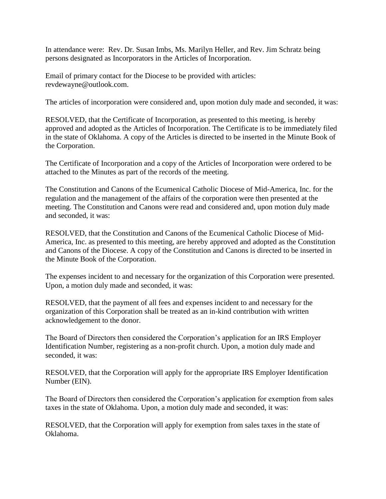In attendance were: Rev. Dr. Susan Imbs, Ms. Marilyn Heller, and Rev. Jim Schratz being persons designated as Incorporators in the Articles of Incorporation.

Email of primary contact for the Diocese to be provided with articles: revdewayne@outlook.com.

The articles of incorporation were considered and, upon motion duly made and seconded, it was:

RESOLVED, that the Certificate of Incorporation, as presented to this meeting, is hereby approved and adopted as the Articles of Incorporation. The Certificate is to be immediately filed in the state of Oklahoma. A copy of the Articles is directed to be inserted in the Minute Book of the Corporation.

The Certificate of Incorporation and a copy of the Articles of Incorporation were ordered to be attached to the Minutes as part of the records of the meeting.

The Constitution and Canons of the Ecumenical Catholic Diocese of Mid-America, Inc. for the regulation and the management of the affairs of the corporation were then presented at the meeting. The Constitution and Canons were read and considered and, upon motion duly made and seconded, it was:

RESOLVED, that the Constitution and Canons of the Ecumenical Catholic Diocese of Mid-America, Inc. as presented to this meeting, are hereby approved and adopted as the Constitution and Canons of the Diocese. A copy of the Constitution and Canons is directed to be inserted in the Minute Book of the Corporation.

The expenses incident to and necessary for the organization of this Corporation were presented. Upon, a motion duly made and seconded, it was:

RESOLVED, that the payment of all fees and expenses incident to and necessary for the organization of this Corporation shall be treated as an in-kind contribution with written acknowledgement to the donor.

The Board of Directors then considered the Corporation's application for an IRS Employer Identification Number, registering as a non-profit church. Upon, a motion duly made and seconded, it was:

RESOLVED, that the Corporation will apply for the appropriate IRS Employer Identification Number (EIN).

The Board of Directors then considered the Corporation's application for exemption from sales taxes in the state of Oklahoma. Upon, a motion duly made and seconded, it was:

RESOLVED, that the Corporation will apply for exemption from sales taxes in the state of Oklahoma.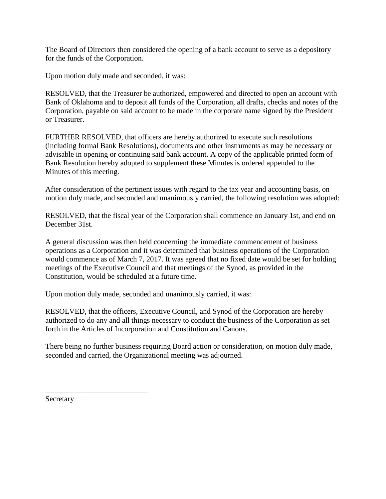The Board of Directors then considered the opening of a bank account to serve as a depository for the funds of the Corporation.

Upon motion duly made and seconded, it was:

RESOLVED, that the Treasurer be authorized, empowered and directed to open an account with Bank of Oklahoma and to deposit all funds of the Corporation, all drafts, checks and notes of the Corporation, payable on said account to be made in the corporate name signed by the President or Treasurer.

FURTHER RESOLVED, that officers are hereby authorized to execute such resolutions (including formal Bank Resolutions), documents and other instruments as may be necessary or advisable in opening or continuing said bank account. A copy of the applicable printed form of Bank Resolution hereby adopted to supplement these Minutes is ordered appended to the Minutes of this meeting.

After consideration of the pertinent issues with regard to the tax year and accounting basis, on motion duly made, and seconded and unanimously carried, the following resolution was adopted:

RESOLVED, that the fiscal year of the Corporation shall commence on January 1st, and end on December 31st.

A general discussion was then held concerning the immediate commencement of business operations as a Corporation and it was determined that business operations of the Corporation would commence as of March 7, 2017. It was agreed that no fixed date would be set for holding meetings of the Executive Council and that meetings of the Synod, as provided in the Constitution, would be scheduled at a future time.

Upon motion duly made, seconded and unanimously carried, it was:

RESOLVED, that the officers, Executive Council, and Synod of the Corporation are hereby authorized to do any and all things necessary to conduct the business of the Corporation as set forth in the Articles of Incorporation and Constitution and Canons.

There being no further business requiring Board action or consideration, on motion duly made, seconded and carried, the Organizational meeting was adjourned.

Secretary

\_\_\_\_\_\_\_\_\_\_\_\_\_\_\_\_\_\_\_\_\_\_\_\_\_\_\_